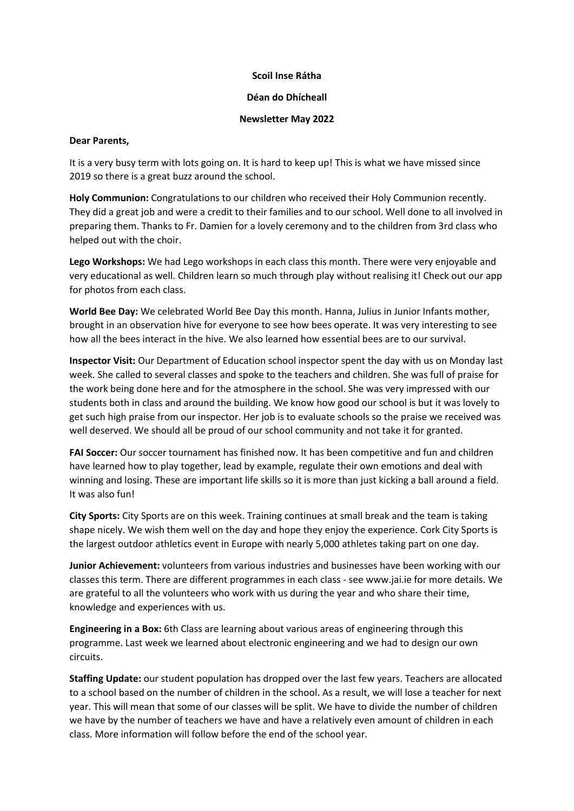## **Scoil Inse Rátha**

# **Déan do Dhícheall**

## **Newsletter May 2022**

## **Dear Parents,**

It is a very busy term with lots going on. It is hard to keep up! This is what we have missed since 2019 so there is a great buzz around the school.

**Holy Communion:** Congratulations to our children who received their Holy Communion recently. They did a great job and were a credit to their families and to our school. Well done to all involved in preparing them. Thanks to Fr. Damien for a lovely ceremony and to the children from 3rd class who helped out with the choir.

**Lego Workshops:** We had Lego workshops in each class this month. There were very enjoyable and very educational as well. Children learn so much through play without realising it! Check out our app for photos from each class.

**World Bee Day:** We celebrated World Bee Day this month. Hanna, Julius in Junior Infants mother, brought in an observation hive for everyone to see how bees operate. It was very interesting to see how all the bees interact in the hive. We also learned how essential bees are to our survival.

**Inspector Visit:** Our Department of Education school inspector spent the day with us on Monday last week. She called to several classes and spoke to the teachers and children. She was full of praise for the work being done here and for the atmosphere in the school. She was very impressed with our students both in class and around the building. We know how good our school is but it was lovely to get such high praise from our inspector. Her job is to evaluate schools so the praise we received was well deserved. We should all be proud of our school community and not take it for granted.

**FAI Soccer:** Our soccer tournament has finished now. It has been competitive and fun and children have learned how to play together, lead by example, regulate their own emotions and deal with winning and losing. These are important life skills so it is more than just kicking a ball around a field. It was also fun!

**City Sports:** City Sports are on this week. Training continues at small break and the team is taking shape nicely. We wish them well on the day and hope they enjoy the experience. Cork City Sports is the largest outdoor athletics event in Europe with nearly 5,000 athletes taking part on one day.

**Junior Achievement:** volunteers from various industries and businesses have been working with our classes this term. There are different programmes in each class - see www.jai.ie for more details. We are grateful to all the volunteers who work with us during the year and who share their time, knowledge and experiences with us.

**Engineering in a Box:** 6th Class are learning about various areas of engineering through this programme. Last week we learned about electronic engineering and we had to design our own circuits.

**Staffing Update:** our student population has dropped over the last few years. Teachers are allocated to a school based on the number of children in the school. As a result, we will lose a teacher for next year. This will mean that some of our classes will be split. We have to divide the number of children we have by the number of teachers we have and have a relatively even amount of children in each class. More information will follow before the end of the school year.